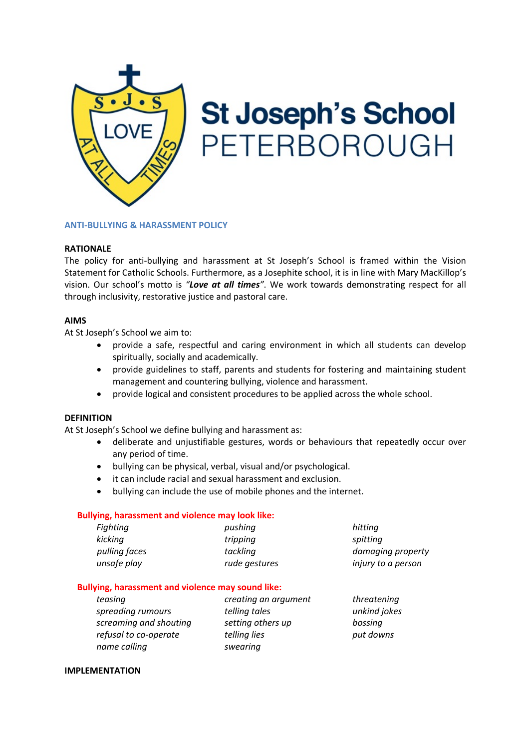

# **St Joseph's School** PETERBOROUGH

## **ANTI-BULLYING & HARASSMENT POLICY**

# **RATIONALE**

The policy for anti-bullying and harassment at St Joseph's School is framed within the Vision Statement for Catholic Schools. Furthermore, as a Josephite school, it is in line with Mary MacKillop's vision. Our school's motto is *"Love at all times"*. We work towards demonstrating respect for all through inclusivity, restorative justice and pastoral care.

#### **AIMS**

At St Joseph's School we aim to:

- provide a safe, respectful and caring environment in which all students can develop spiritually, socially and academically.
- provide guidelines to staff, parents and students for fostering and maintaining student management and countering bullying, violence and harassment.
- provide logical and consistent procedures to be applied across the whole school.

## **DEFINITION**

At St Joseph's School we define bullying and harassment as:

- deliberate and unjustifiable gestures, words or behaviours that repeatedly occur over any period of time.
- bullying can be physical, verbal, visual and/or psychological.
- it can include racial and sexual harassment and exclusion.
- bullying can include the use of mobile phones and the internet.

## **Bullying, harassment and violence may look like:**

| pushing       | hitting            |
|---------------|--------------------|
| tripping      | spitting           |
| tackling      | damaging property  |
| rude gestures | injury to a person |
|               |                    |

## **Bullying, harassment and violence may sound like:**

| teasing                | creating an argument | threatening  |
|------------------------|----------------------|--------------|
| spreading rumours      | telling tales        | unkind jokes |
| screaming and shouting | setting others up    | bossing      |
| refusal to co-operate  | telling lies         | put downs    |
| name calling           | swearing             |              |

#### **IMPLEMENTATION**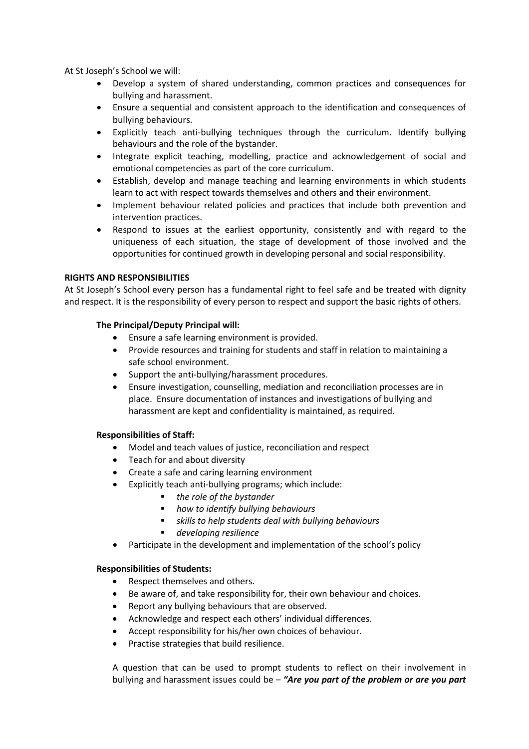At St Joseph's School we will:

- Develop a system of shared understanding, common practices and consequences for bullying and harassment.
- Ensure a sequential and consistent approach to the identification and consequences of bullying behaviours.
- Explicitly teach anti-bullying techniques through the curriculum. Identify bullying behaviours and the role of the bystander.
- Integrate explicit teaching, modelling, practice and acknowledgement of social and emotional competencies as part of the core curriculum.
- Establish, develop and manage teaching and learning environments in which students learn to act with respect towards themselves and others and their environment.
- Implement behaviour related policies and practices that include both prevention and intervention practices.
- Respond to issues at the earliest opportunity, consistently and with regard to the uniqueness of each situation, the stage of development of those involved and the opportunities for continued growth in developing personal and social responsibility.

# **RIGHTS AND RESPONSIBILITIES**

At St Joseph's School every person has a fundamental right to feel safe and be treated with dignity and respect. It is the responsibility of every person to respect and support the basic rights of others.

# **The Principal/Deputy Principal will:**

- Ensure a safe learning environment is provided.
- Provide resources and training for students and staff in relation to maintaining a safe school environment.
- Support the anti-bullying/harassment procedures.
- Ensure investigation, counselling, mediation and reconciliation processes are in place. Ensure documentation of instances and investigations of bullying and harassment are kept and confidentiality is maintained, as required.

## **Responsibilities of Staff:**

- Model and teach values of justice, reconciliation and respect
- Teach for and about diversity
- Create a safe and caring learning environment
- Explicitly teach anti-bullying programs; which include:
	- the role of the bystander
	- § *how to identify bullying behaviours*
	- § *skills to help students deal with bullying behaviours*
	- § *developing resilience*
- Participate in the development and implementation of the school's policy

## **Responsibilities of Students:**

- Respect themselves and others.
- Be aware of, and take responsibility for, their own behaviour and choices.
- Report any bullying behaviours that are observed.
- Acknowledge and respect each others' individual differences.
- Accept responsibility for his/her own choices of behaviour.
- Practise strategies that build resilience.

A question that can be used to prompt students to reflect on their involvement in bullying and harassment issues could be – *"Are you part of the problem or are you part*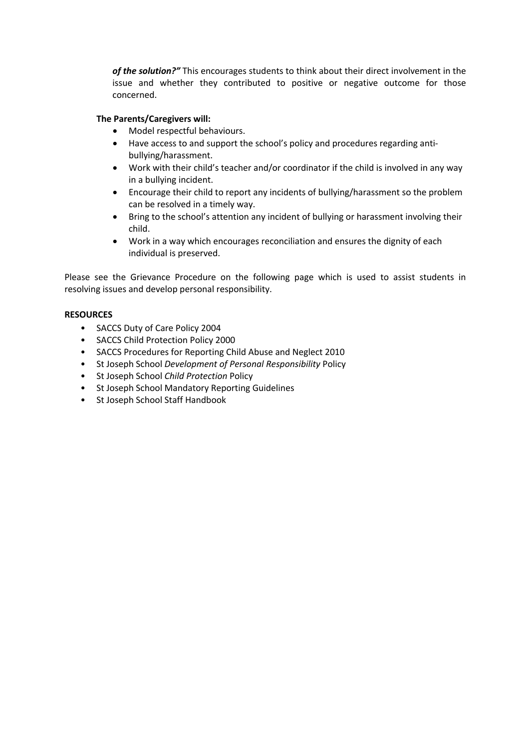*of the solution?"* This encourages students to think about their direct involvement in the issue and whether they contributed to positive or negative outcome for those concerned.

# **The Parents/Caregivers will:**

- Model respectful behaviours.
- Have access to and support the school's policy and procedures regarding antibullying/harassment.
- Work with their child's teacher and/or coordinator if the child is involved in any way in a bullying incident.
- Encourage their child to report any incidents of bullying/harassment so the problem can be resolved in a timely way.
- Bring to the school's attention any incident of bullying or harassment involving their child.
- Work in a way which encourages reconciliation and ensures the dignity of each individual is preserved.

Please see the Grievance Procedure on the following page which is used to assist students in resolving issues and develop personal responsibility.

# **RESOURCES**

- SACCS Duty of Care Policy 2004
- SACCS Child Protection Policy 2000
- SACCS Procedures for Reporting Child Abuse and Neglect 2010
- St Joseph School *Development of Personal Responsibility* Policy
- St Joseph School *Child Protection* Policy
- St Joseph School Mandatory Reporting Guidelines
- St Joseph School Staff Handbook